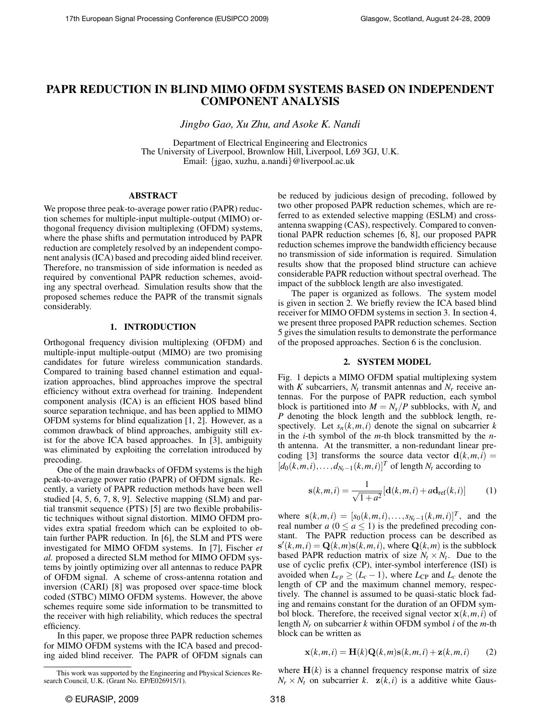# PAPR REDUCTION IN BLIND MIMO OFDM SYSTEMS BASED ON INDEPENDENT COMPONENT ANALYSIS

*Jingbo Gao, Xu Zhu, and Asoke K. Nandi*

Department of Electrical Engineering and Electronics The University of Liverpool, Brownlow Hill, Liverpool, L69 3GJ, U.K. Email: {jgao, xuzhu, a.nandi}@liverpool.ac.uk

## ABSTRACT

We propose three peak-to-average power ratio (PAPR) reduction schemes for multiple-input multiple-output (MIMO) orthogonal frequency division multiplexing (OFDM) systems, where the phase shifts and permutation introduced by PAPR reduction are completely resolved by an independent component analysis (ICA) based and precoding aided blind receiver. Therefore, no transmission of side information is needed as required by conventional PAPR reduction schemes, avoiding any spectral overhead. Simulation results show that the proposed schemes reduce the PAPR of the transmit signals considerably.

## 1. INTRODUCTION

Orthogonal frequency division multiplexing (OFDM) and multiple-input multiple-output (MIMO) are two promising candidates for future wireless communication standards. Compared to training based channel estimation and equalization approaches, blind approaches improve the spectral efficiency without extra overhead for training. Independent component analysis (ICA) is an efficient HOS based blind source separation technique, and has been applied to MIMO OFDM systems for blind equalization [1, 2]. However, as a common drawback of blind approaches, ambiguity still exist for the above ICA based approaches. In [3], ambiguity was eliminated by exploiting the correlation introduced by precoding.

One of the main drawbacks of OFDM systems is the high peak-to-average power ratio (PAPR) of OFDM signals. Recently, a variety of PAPR reduction methods have been well studied [4, 5, 6, 7, 8, 9]. Selective mapping (SLM) and partial transmit sequence (PTS) [5] are two flexible probabilistic techniques without signal distortion. MIMO OFDM provides extra spatial freedom which can be exploited to obtain further PAPR reduction. In [6], the SLM and PTS were investigated for MIMO OFDM systems. In [7], Fischer *et al.* proposed a directed SLM method for MIMO OFDM systems by jointly optimizing over all antennas to reduce PAPR of OFDM signal. A scheme of cross-antenna rotation and inversion (CARI) [8] was proposed over space-time block coded (STBC) MIMO OFDM systems. However, the above schemes require some side information to be transmitted to the receiver with high reliability, which reduces the spectral efficiency.

In this paper, we propose three PAPR reduction schemes for MIMO OFDM systems with the ICA based and precoding aided blind receiver. The PAPR of OFDM signals can be reduced by judicious design of precoding, followed by two other proposed PAPR reduction schemes, which are referred to as extended selective mapping (ESLM) and crossantenna swapping (CAS), respectively. Compared to conventional PAPR reduction schemes [6, 8], our proposed PAPR reduction schemes improve the bandwidth efficiency because no transmission of side information is required. Simulation results show that the proposed blind structure can achieve considerable PAPR reduction without spectral overhead. The impact of the subblock length are also investigated.

The paper is organized as follows. The system model is given in section 2. We briefly review the ICA based blind receiver for MIMO OFDM systems in section 3. In section 4, we present three proposed PAPR reduction schemes. Section 5 gives the simulation results to demonstrate the performance of the proposed approaches. Section 6 is the conclusion.

## 2. SYSTEM MODEL

Fig. 1 depicts a MIMO OFDM spatial multiplexing system with *K* subcarriers,  $N_t$  transmit antennas and  $N_r$  receive antennas. For the purpose of PAPR reduction, each symbol block is partitioned into  $M = N_s/P$  subblocks, with  $N_s$  and *P* denoting the block length and the subblock length, respectively. Let  $s_n(k,m,i)$  denote the signal on subcarrier k in the *i*-th symbol of the *m*-th block transmitted by the *n*th antenna. At the transmitter, a non-redundant linear precoding [3] transforms the source data vector  $d(k, m, i)$  =  $[d_0(k,m,i),\ldots,d_{N_t-1}(k,m,i)]^T$  of length  $N_t$  according to

$$
\mathbf{s}(k,m,i) = \frac{1}{\sqrt{1+a^2}}[\mathbf{d}(k,m,i) + a\mathbf{d}_{\text{ref}}(k,i)] \tag{1}
$$

where  $s(k,m,i) = [s_0(k,m,i),...,s_{N_t-1}(k,m,i)]^T$ , and the real number  $a$  ( $0 \le a \le 1$ ) is the predefined precoding constant. The PAPR reduction process can be described as  $s'(k,m,i) = Q(k,m)s(k,m,i)$ , where  $Q(k,m)$  is the subblock based PAPR reduction matrix of size  $N_t \times N_t$ . Due to the use of cyclic prefix (CP), inter-symbol interference (ISI) is avoided when  $L_{cp} \geq (L_c - 1)$ , where  $L_{CP}$  and  $L_c$  denote the length of CP and the maximum channel memory, respectively. The channel is assumed to be quasi-static block fading and remains constant for the duration of an OFDM symbol block. Therefore, the received signal vector  $\mathbf{x}(k,m,i)$  of length *N<sup>r</sup>* on subcarrier *k* within OFDM symbol *i* of the *m*-th block can be written as

$$
\mathbf{x}(k,m,i) = \mathbf{H}(k)\mathbf{Q}(k,m)\mathbf{s}(k,m,i) + \mathbf{z}(k,m,i) \tag{2}
$$

where  $H(k)$  is a channel frequency response matrix of size  $N_r \times N_t$  on subcarrier *k*.  $z(k,i)$  is a additive white Gaus-

This work was supported by the Engineering and Physical Sciences Research Council, U.K. (Grant No. EP/E026915/1).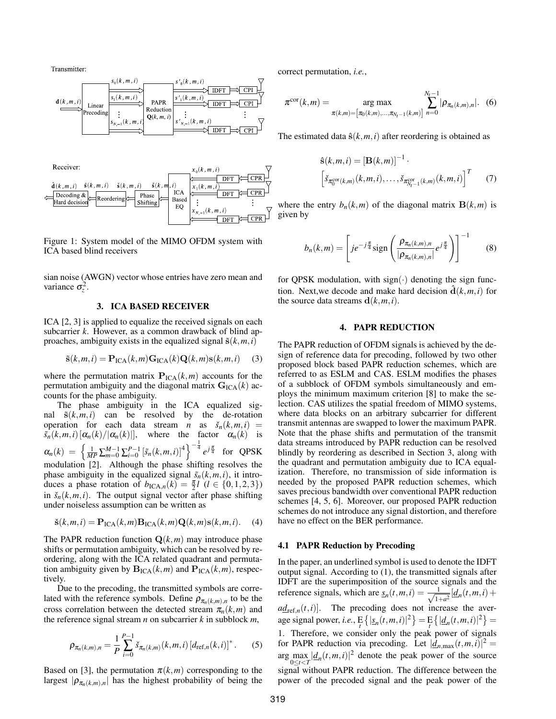Transmitter:



Figure 1: System model of the MIMO OFDM system with ICA based blind receivers

sian noise (AWGN) vector whose entries have zero mean and variance  $\sigma_z^2$ .

## 3. ICA BASED RECEIVER

ICA [2, 3] is applied to equalize the received signals on each subcarrier *k*. However, as a common drawback of blind approaches, ambiguity exists in the equalized signal  $\tilde{s}(k,m,i)$ 

$$
\tilde{\mathbf{s}}(k,m,i) = \mathbf{P}_{\text{ICA}}(k,m)\mathbf{G}_{\text{ICA}}(k)\mathbf{Q}(k,m)\mathbf{s}(k,m,i) \tag{3}
$$

where the permutation matrix  $P_{\text{ICA}}(k,m)$  accounts for the permutation ambiguity and the diagonal matrix  $\mathbf{G}_{\text{ICA}}(k)$  accounts for the phase ambiguity.

The phase ambiguity in the ICA equalized signal  $\tilde{s}(k,m,i)$  can be resolved by the de-rotation operation for each data stream *n* as  $\check{s}_n(k,m,i)$  =  $\tilde{s}_n(k,m,i) [\alpha_n(k)/|\alpha_n(k)|]$ , where the factor  $\alpha_n(k)$  is  $\alpha_n(k) = \left\{ \frac{1}{MP} \sum_{m=0}^{M-1} \sum_{i=0}^{P-1} \left[ \tilde{s}_n(k,m,i) \right]^4 \right\}^{-\frac{1}{4}} e^{j\frac{\pi}{4}}$  for QPSK modulation [2]. Although the phase shifting resolves the phase ambiguity in the equalized signal  $\tilde{s}_n(k,m,i)$ , it introduces a phase rotation of  $b_{\text{ICA},n}(k) = \frac{\pi}{2}l \ (l \in \{0, 1, 2, 3\})$ in  $\check{s}_n(k,m,i)$ . The output signal vector after phase shifting under noiseless assumption can be written as

$$
\check{\mathbf{s}}(k,m,i) = \mathbf{P}_{\mathrm{ICA}}(k,m)\mathbf{B}_{\mathrm{ICA}}(k,m)\mathbf{Q}(k,m)\mathbf{s}(k,m,i). \tag{4}
$$

The PAPR reduction function  $Q(k,m)$  may introduce phase shifts or permutation ambiguity, which can be resolved by reordering, along with the ICA related quadrant and permutation ambiguity given by  $\mathbf{B}_{\text{ICA}}(k,m)$  and  $\mathbf{P}_{\text{ICA}}(k,m)$ , respectively.

Due to the precoding, the transmitted symbols are correlated with the reference symbols. Define  $\rho_{\pi_n(k,m),n}$  to be the cross correlation between the detected stream  $\pi_n(k,m)$  and the reference signal stream *n* on subcarrier *k* in subblock *m*,

$$
\rho_{\pi_n(k,m),n} = \frac{1}{P} \sum_{i=0}^{P-1} \check{s}_{\pi_n(k,m)}(k,m,i) \left[ d_{\text{ref},n}(k,i) \right]^*.
$$
 (5)

Based on [3], the permutation  $\pi(k,m)$  corresponding to the largest  $|\rho_{\pi_n(k,m),n}|$  has the highest probability of being the correct permutation, *i.e.*,

$$
\pi^{\text{cor}}(k,m) = \underset{\pi(k,m) = [ \pi_0(k,m), \dots, \pi_{N_t-1}(k,m)]}{\arg \max} \sum_{n=0}^{N_t-1} |\rho_{\pi_n(k,m),n}|.
$$
 (6)

The estimated data  $\hat{\mathbf{s}}(k,m,i)$  after reordering is obtained as

$$
\hat{\mathbf{s}}(k,m,i) = [\mathbf{B}(k,m)]^{-1} \cdot \left[ \check{s}_{\pi_0^{\text{cor}}(k,m)}(k,m,i), \dots, \check{s}_{\pi_{N_t-1}^{\text{cor}}(k,m)}(k,m,i) \right]^T \tag{7}
$$

where the entry  $b_n(k,m)$  of the diagonal matrix  $\mathbf{B}(k,m)$  is given by

$$
b_n(k,m) = \left[ j e^{-j\frac{\pi}{4}} \text{sign}\left(\frac{\rho_{\pi_n(k,m),n}}{|\rho_{\pi_n(k,m),n}|} e^{j\frac{\pi}{4}}\right) \right]^{-1}
$$
 (8)

for QPSK modulation, with  $sign(\cdot)$  denoting the sign function. Next, we decode and make hard decision  $\mathbf{d}(k,m,i)$  for the source data streams  $\mathbf{d}(k,m,i)$ .

## 4. PAPR REDUCTION

The PAPR reduction of OFDM signals is achieved by the design of reference data for precoding, followed by two other proposed block based PAPR reduction schemes, which are referred to as ESLM and CAS. ESLM modifies the phases of a subblock of OFDM symbols simultaneously and employs the minimum maximum criterion [8] to make the selection. CAS utilizes the spatial freedom of MIMO systems, where data blocks on an arbitrary subcarrier for different transmit antennas are swapped to lower the maximum PAPR. Note that the phase shifts and permutation of the transmit data streams introduced by PAPR reduction can be resolved blindly by reordering as described in Section 3, along with the quadrant and permutation ambiguity due to ICA equalization. Therefore, no transmission of side information is needed by the proposed PAPR reduction schemes, which saves precious bandwidth over conventional PAPR reduction schemes [4, 5, 6]. Moreover, our proposed PAPR reduction schemes do not introduce any signal distortion, and therefore have no effect on the BER performance.

#### 4.1 PAPR Reduction by Precoding

In the paper, an underlined symbol is used to denote the IDFT output signal. According to (1), the transmitted signals after IDFT are the superimposition of the source signals and the reference signals, which are  $s_n(t, m, i) = \frac{1}{\sqrt{1}}$  $\frac{1}{1+a^2}$   $\left[ \underline{d}_n(t,m,i) + \right]$  $a\underline{d}_{\text{ref},n}(t,i)$ . The precoding does not increase the aver- $\arg \min_{t} \{ \max_{t} \{ \max_{t} \{ |S_n(t, m, i)|^2 \} \} = \frac{E}{t} \{ |d_n(t, m, i)|^2 \} = 0$ 1. Therefore, we consider only the peak power of signals for PAPR reduction via precoding. Let  $|\underline{d}_{n,\max}(t,m,i)|^2$  =  $\arg \max_{0 \le t \le T} |\underline{d}_n(t, m, i)|^2$  denote the peak power of the source  $\sum_{0 \le t < T}$   $\sum_{i=0}^{T}$   $\sum_{i=0}^{T}$   $\sum_{i=0}^{T}$  reduction. The difference between the power of the precoded signal and the peak power of the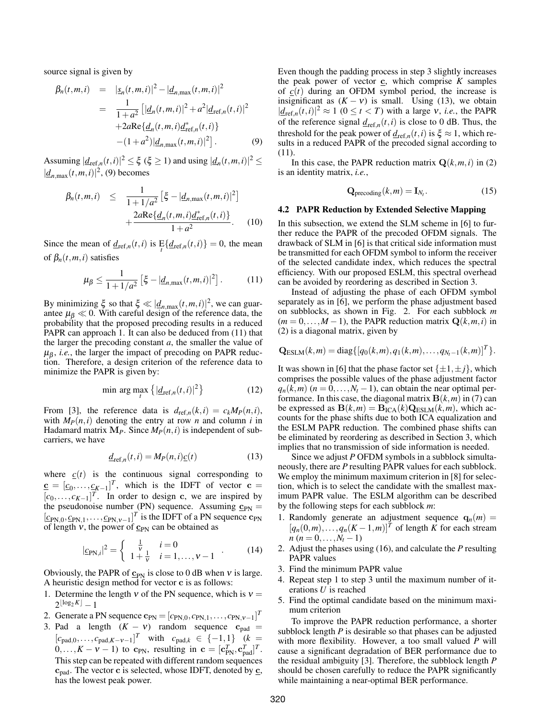source signal is given by

$$
\beta_n(t, m, i) = |\underline{s}_n(t, m, i)|^2 - |\underline{d}_{n, \max}(t, m, i)|^2
$$
  
= 
$$
\frac{1}{1 + a^2} [|\underline{d}_n(t, m, i)|^2 + a^2 |\underline{d}_{\text{ref}, n}(t, i)|^2
$$
  
+ 
$$
2a \text{Re}\{\underline{d}_n(t, m, i)\underline{d}_{\text{ref}, n}^*(t, i)\}
$$
  
- 
$$
(1 + a^2) |\underline{d}_{n, \max}(t, m, i)|^2].
$$
 (9)

Assuming  $|\underline{d}_{\text{ref},n}(t,i)|^2 \leq \xi$  ( $\xi \geq 1$ ) and using  $|\underline{d}_n(t,m,i)|^2 \leq$  $|\underline{d}_{n,\text{max}}(t,m,i)|^2$ , (9) becomes

$$
\beta_n(t, m, i) \leq \frac{1}{1 + 1/a^2} \left[ \xi - |d_{n, \max}(t, m, i)|^2 \right] + \frac{2a \text{Re} \{ d_n(t, m, i) d_{\text{ref}, n}^*(t, i) \}}{1 + a^2}.
$$
 (10)

Since the mean of  $\underline{d}_{\text{ref},n}(t,i)$  is  $\mathbb{E}\{\underline{d}_{\text{ref},n}(t,i)\}=0$ , the mean of  $\beta_n(t,m,i)$  satisfies

$$
\mu_{\beta} \le \frac{1}{1 + 1/a^2} \left[ \xi - |d_{n,\max}(t, m, i)|^2 \right]. \tag{11}
$$

By minimizing  $\xi$  so that  $\xi \ll |d_{n,\text{max}}(t,m,i)|^2$ , we can guarantee  $\mu$ <sub>β</sub>  $\ll$  0. With careful design of the reference data, the probability that the proposed precoding results in a reduced PAPR can approach 1. It can also be deduced from (11) that the larger the precoding constant *a*, the smaller the value of  $\mu_{\beta}$ , *i.e.*, the larger the impact of precoding on PAPR reduction. Therefore, a design criterion of the reference data to minimize the PAPR is given by:

$$
\min_{t} \arg \max_{t} \left\{ \left| \underline{d}_{\text{ref},n}(t,i) \right|^2 \right\} \tag{12}
$$

From [3], the reference data is  $d_{ref,n}(k,i) = c_k M_P(n,i)$ , with  $M_P(n,i)$  denoting the entry at row *n* and column *i* in Hadamard matrix  $M_P$ . Since  $M_P(n,i)$  is independent of subcarriers, we have

$$
\underline{d}_{\text{ref},n}(t,i) = M_P(n,i)\underline{c}(t) \tag{13}
$$

where  $c(t)$  is the continuous signal corresponding to  $\underline{\mathbf{c}} = [c_0, \dots, \underline{c_{K-1}}]^T$ , which is the IDFT of vector  $\underline{\mathbf{c}} =$  $[c_0, \ldots, c_{K-1}]^T$ . In order to design c, we are inspired by the pseudonoise number (PN) sequence. Assuming  $\mathbf{c}_{PN} =$  $\left[\underline{c}_{\text{PN},0}, \underline{c}_{\text{PN},1}, \ldots, \underline{c}_{\text{PN},v-1}\right]^T$  is the IDFT of a PN sequence  $\mathbf{c}_{\text{PN}}$ of length  $v$ , the power of  $\underline{c}_{PN}$  can be obtained as

$$
|\underline{c}_{\text{PN},i}|^2 = \begin{cases} \frac{1}{\nu} & i = 0\\ 1 + \frac{1}{\nu} & i = 1,\dots, \nu - 1 \end{cases} \tag{14}
$$

Obviously, the PAPR of  $c_{PN}$  is close to 0 dB when v is large. A heuristic design method for vector c is as follows:

- 1. Determine the length  $v$  of the PN sequence, which is  $v =$  $2^{\lfloor \log_2 K \rfloor} - 1$
- 2. Generate a PN sequence  $\mathbf{c}_{\text{PN}} = [c_{\text{PN},0}, c_{\text{PN},1}, \dots, c_{\text{PN},v-1}]^T$
- 3. Pad a length  $(K v)$  random sequence  $c_{pad} =$  $[c_{\text{pad},0}, \ldots, c_{\text{pad},K-V-1}]^T$  with  $c_{\text{pad},k} \in \{-1,1\}$   $(k =$  $0, \ldots, K - V - 1$ ) to c<sub>PN</sub>, resulting in c =  $[c_{PN}^T, c_{pad}^T]^T$ . This step can be repeated with different random sequences  $c_{pad}$ . The vector c is selected, whose IDFT, denoted by  $\underline{c}$ , has the lowest peak power.

Even though the padding process in step 3 slightly increases the peak power of vector  $\underline{c}$ , which comprise  $K$  samples of  $c(t)$  during an OFDM symbol period, the increase is insignificant as  $(K - v)$  is small. Using (13), we obtain  $|d_{\text{ref},n}(t,i)|^2 \approx 1 \ (0 \le t < T)$  with a large v, *i.e.*, the PAPR of the reference signal  $\underline{d}_{\text{ref},n}(t,i)$  is close to 0 dB. Thus, the threshold for the peak power of  $\underline{d}_{ref,n}(t, i)$  is  $\xi \approx 1$ , which results in a reduced PAPR of the precoded signal according to (11).

In this case, the PAPR reduction matrix  $Q(k,m,i)$  in (2) is an identity matrix, *i.e.*,

$$
\mathbf{Q}_{\text{precoding}}(k, m) = \mathbf{I}_{N_t}.\tag{15}
$$

## 4.2 PAPR Reduction by Extended Selective Mapping

In this subsection, we extend the SLM scheme in [6] to further reduce the PAPR of the precoded OFDM signals. The drawback of SLM in [6] is that critical side information must be transmitted for each OFDM symbol to inform the receiver of the selected candidate index, which reduces the spectral efficiency. With our proposed ESLM, this spectral overhead can be avoided by reordering as described in Section 3.

Instead of adjusting the phase of each OFDM symbol separately as in [6], we perform the phase adjustment based on subblocks, as shown in Fig. 2. For each subblock *m*  $(m = 0, \ldots, M - 1)$ , the PAPR reduction matrix  $Q(k, m, i)$  in (2) is a diagonal matrix, given by

$$
Q_{\text{ESLM}}(k,m) = \text{diag}\{[q_0(k,m), q_1(k,m), \ldots, q_{N_t-1}(k,m)]^T\}.
$$

It was shown in [6] that the phase factor set  $\{\pm 1, \pm j\}$ , which comprises the possible values of the phase adjustment factor  $q_n(k,m)$  ( $n = 0, \ldots, N_t - 1$ ), can obtain the near optimal performance. In this case, the diagonal matrix  $\mathbf{B}(k,m)$  in (7) can be expressed as  $\mathbf{B}(k,m) = \mathbf{B}_{\text{ICA}}(k)\mathbf{Q}_{\text{ESLM}}(k,m)$ , which accounts for the phase shifts due to both ICA equalization and the ESLM PAPR reduction. The combined phase shifts can be eliminated by reordering as described in Section 3, which implies that no transmission of side information is needed.

Since we adjust *P* OFDM symbols in a subblock simultaneously, there are *P* resulting PAPR values for each subblock. We employ the minimum maximum criterion in [8] for selection, which is to select the candidate with the smallest maximum PAPR value. The ESLM algorithm can be described by the following steps for each subblock *m*:

- 1. Randomly generate an adjustment sequence  $q_n(m)$  =  $[q_n(0,m),...,q_n(K-1,m)]^T$  of length *K* for each stream *n* (*n* = 0, ..., $N_t$  − 1)
- 2. Adjust the phases using (16), and calculate the *P* resulting PAPR values
- 3. Find the minimum PAPR value
- 4. Repeat step 1 to step 3 until the maximum number of iterations *U* is reached
- 5. Find the optimal candidate based on the minimum maximum criterion

To improve the PAPR reduction performance, a shorter subblock length *P* is desirable so that phases can be adjusted with more flexibility. However, a too small valued *P* will cause a significant degradation of BER performance due to the residual ambiguity [3]. Therefore, the subblock length *P* should be chosen carefully to reduce the PAPR significantly while maintaining a near-optimal BER performance.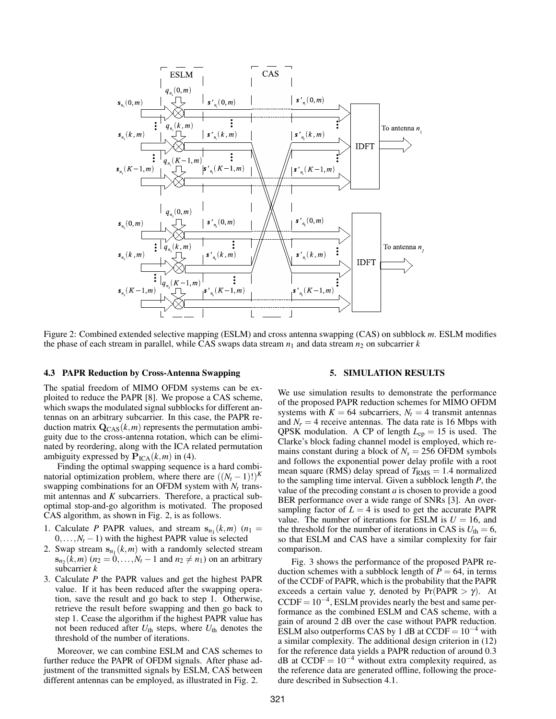

Figure 2: Combined extended selective mapping (ESLM) and cross antenna swapping (CAS) on subblock *m*. ESLM modifies the phase of each stream in parallel, while CAS swaps data stream  $n_1$  and data stream  $n_2$  on subcarrier  $k$ 

## 4.3 PAPR Reduction by Cross-Antenna Swapping

The spatial freedom of MIMO OFDM systems can be exploited to reduce the PAPR [8]. We propose a CAS scheme, which swaps the modulated signal subblocks for different antennas on an arbitrary subcarrier. In this case, the PAPR reduction matrix  $\mathbf{Q}_{CAS}(k,m)$  represents the permutation ambiguity due to the cross-antenna rotation, which can be eliminated by reordering, along with the ICA related permutation ambiguity expressed by  $P_{\text{ICA}}(k,m)$  in (4).

Finding the optimal swapping sequence is a hard combinatorial optimization problem, where there are  $((N_t - 1)!)^K$ swapping combinations for an OFDM system with  $N_t$  transmit antennas and *K* subcarriers. Therefore, a practical suboptimal stop-and-go algorithm is motivated. The proposed CAS algorithm, as shown in Fig. 2, is as follows.

- 1. Calculate *P* PAPR values, and stream  $s_{n_1}(k,m)$  ( $n_1 =$  $0, \ldots, N_t - 1$ ) with the highest PAPR value is selected
- 2. Swap stream  $s_{n_1}(k,m)$  with a randomly selected stream  $s_{n_2}(k,m)$  ( $n_2 = 0,...,N_t - 1$  and  $n_2 \neq n_1$ ) on an arbitrary subcarrier *k*
- 3. Calculate *P* the PAPR values and get the highest PAPR value. If it has been reduced after the swapping operation, save the result and go back to step 1. Otherwise, retrieve the result before swapping and then go back to step 1. Cease the algorithm if the highest PAPR value has not been reduced after *U*th steps, where *U*th denotes the threshold of the number of iterations.

Moreover, we can combine ESLM and CAS schemes to further reduce the PAPR of OFDM signals. After phase adjustment of the transmitted signals by ESLM, CAS between different antennas can be employed, as illustrated in Fig. 2.

## 5. SIMULATION RESULTS

We use simulation results to demonstrate the performance of the proposed PAPR reduction schemes for MIMO OFDM systems with  $K = 64$  subcarriers,  $N_t = 4$  transmit antennas and  $N_r = 4$  receive antennas. The data rate is 16 Mbps with QPSK modulation. A CP of length  $L_{cp} = 15$  is used. The Clarke's block fading channel model is employed, which remains constant during a block of  $N_s = 256$  OFDM symbols and follows the exponential power delay profile with a root mean square (RMS) delay spread of  $T<sub>RMS</sub> = 1.4$  normalized to the sampling time interval. Given a subblock length *P*, the value of the precoding constant *a* is chosen to provide a good BER performance over a wide range of SNRs [3]. An oversampling factor of  $L = 4$  is used to get the accurate PAPR value. The number of iterations for ESLM is  $U = 16$ , and the threshold for the number of iterations in CAS is  $U_{\text{th}} = 6$ , so that ESLM and CAS have a similar complexity for fair comparison.

Fig. 3 shows the performance of the proposed PAPR reduction schemes with a subblock length of  $P = 64$ , in terms of the CCDF of PAPR, which is the probability that the PAPR exceeds a certain value  $\gamma$ , denoted by Pr(PAPR  $> \gamma$ ). At  $CCDF = 10^{-4}$ , ESLM provides nearly the best and same performance as the combined ESLM and CAS scheme, with a gain of around 2 dB over the case without PAPR reduction. ESLM also outperforms CAS by 1 dB at  $CCDF = 10^{-4}$  with a similar complexity. The additional design criterion in (12) for the reference data yields a PAPR reduction of around 0.3 dB at CCDF =  $10^{-4}$  without extra complexity required, as the reference data are generated offline, following the procedure described in Subsection 4.1.